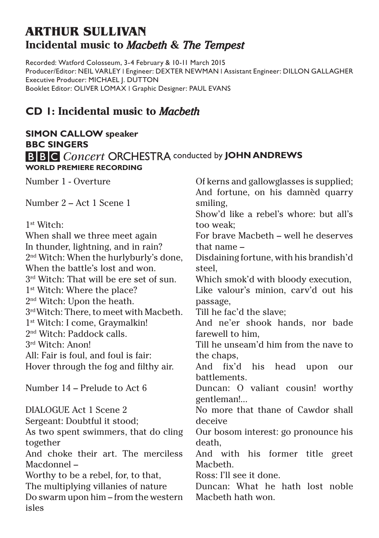# **ARTHUR SULLIVAN Incidental music to** *Macbeth* **&** *The Tempest*

Recorded: Watford Colosseum, 3-4 February & 10-11 March 2015 Producer/Editor: NEIL VARLEY | Engineer: DEXTER NEWMAN | Assistant Engineer: DILLON GALLAGHER Executive Producer: MICHAEL J. DUTTON Booklet Editor: OLIVER LOMAX | Graphic Designer: PAUL EVANS

## **CD 1: Incidental music to** *Macbeth*

### **SIMON CALLOW speaker BBC SINGERS B B C** Concert ORCHESTRA conducted by JOHN ANDREWS **WORLD PREMIERE RECORDING**

Number 1 - Overture

Number 2 – Act 1 Scene 1

1st Witch:

When shall we three meet again In thunder, lightning, and in rain? 2nd Witch: When the hurlyburly's done, When the battle's lost and won. 3rd Witch: That will be ere set of sun. 1<sup>st</sup> Witch: Where the place? 2nd Witch: Upon the heath. 3rd Witch: There, to meet with Macbeth. 1st Witch: I come, Graymalkin! 2nd Witch: Paddock calls. 3rd Witch: Anon! All: Fair is foul, and foul is fair: Hover through the fog and filthy air.

Number 14 – Prelude to Act 6

DIALOGUE Act 1 Scene 2 Sergeant: Doubtful it stood; As two spent swimmers, that do cling together And choke their art. The merciless Macdonnel – Worthy to be a rebel, for, to that, The multiplying villanies of nature Do swarm upon him – from the western ieles

Of kerns and gallowglasses is supplied; And fortune, on his damnèd quarry smiling, Show'd like a rebel's whore: but all's too weak; For brave Macbeth – well he deserves that name – Disdaining fortune, with his brandish'd steel, Which smok'd with bloody execution, Like valour's minion, carv'd out his passage, Till he fac'd the slave; And ne'er shook hands, nor bade farewell to him Till he unseam'd him from the nave to the chaps. And fix'd his head upon our battlements. Duncan: O valiant cousin! worthy gentleman!... No more that thane of Cawdor shall deceive Our bosom interest: go pronounce his death, And with his former title greet **Macheth** Ross: I'll see it done. Duncan: What he hath lost noble Macbeth hath won.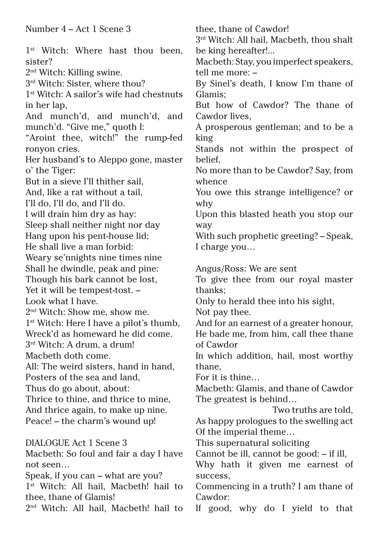Number 4 – Act 1 Scene 3 1<sup>st</sup> Witch: Where hast thou been. sister? 2nd Witch: Killing swine. 3rd Witch: Sister, where thou? 1st Witch: A sailor's wife had chestnuts in her lap, And munch'd, and munch'd, and munch'd. "Give me," quoth I: "Aroint thee, witch!" the rump-fed ronyon cries. Her husband's to Aleppo gone, master o' the Tiger: But in a sieve I'll thither sail, And, like a rat without a tail, I'll do, I'll do, and I'll do. I will drain him dry as hay: Sleep shall neither night nor day Hang upon his pent-house lid; He shall live a man forbid: Weary se'nnights nine times nine Shall he dwindle, peak and pine: Though his bark cannot be lost, Yet it will be tempest-tost. – Look what I have. 2nd Witch: Show me, show me. 1st Witch: Here I have a pilot's thumb, Wreck'd as homeward he did come. 3rd Witch: A drum, a drum! Macbeth doth come. All: The weird sisters, hand in hand, Posters of the sea and land, Thus do go about, about: Thrice to thine, and thrice to mine, And thrice again, to make up nine. Peace! – the charm's wound up! DIALOGUE Act 1 Scene 3 Macbeth: So foul and fair a day I have not seen… Speak, if you can – what are you? 1<sup>st</sup> Witch: All hail, Macbeth! hail to thee, thane of Glamis!

2nd Witch: All hail, Macbeth! hail to

thee, thane of Cawdor!  $3<sup>rd</sup>$  Witch: All hail, Macbeth, thou shalt be king hereafter!... Macbeth: Stay, you imperfect speakers, tell me more: – By Sinel's death, I know I'm thane of Glamis; But how of Cawdor? The thane of Cawdor lives, A prosperous gentleman; and to be a king Stands not within the prospect of belief, No more than to be Cawdor? Say, from whence You owe this strange intelligence? or why Upon this blasted heath you stop our way With such prophetic greeting? – Speak, I charge you… Angus/Ross: We are sent

To give thee from our royal master thanks;

Only to herald thee into his sight,

Not pay thee.

And for an earnest of a greater honour, He bade me, from him, call thee thane of Cawdor

In which addition, hail, most worthy thane,

For it is thine…

Macbeth: Glamis, and thane of Cawdor The greatest is behind…

Two truths are told,

As happy prologues to the swelling act Of the imperial theme…

This supernatural soliciting

Cannot be ill, cannot be good: – if ill,

Why hath it given me earnest of success,

Commencing in a truth? I am thane of Cawdor:

If good, why do I yield to that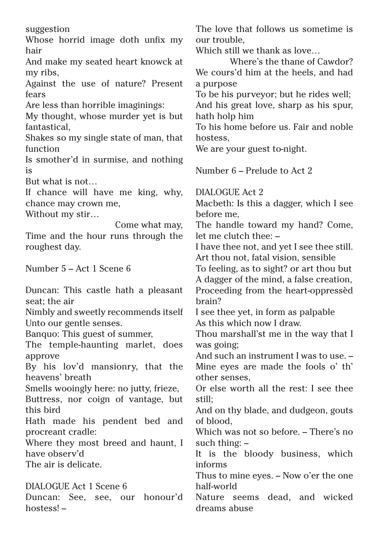suggestion

Whose horrid image doth unfix my hair

And make my seated heart knowck at my ribs,

Against the use of nature? Present fears

Are less than horrible imaginings:

My thought, whose murder yet is but fantastical,

Shakes so my single state of man, that function

Is smother'd in surmise, and nothing is

But what is not…

If chance will have me king, why, chance may crown me,

Without my stir…

 Come what may, Time and the hour runs through the roughest day.

Number 5 – Act 1 Scene 6

Duncan: This castle hath a pleasant seat; the air Nimbly and sweetly recommends itself Unto our gentle senses. Banquo: This guest of summer, The temple-haunting marlet, does approve By his lov'd mansionry, that the heavens' breath Smells wooingly here: no jutty, frieze, Buttress, nor coign of vantage, but this bird Hath made his pendent bed and procreant cradle: Where they most breed and haunt, I have observ'd The air is delicate. DIALOGUE Act 1 Scene 6

Duncan: See, see, our honour'd hostess! –

The love that follows us sometime is our trouble,

Which still we thank as love...

Where's the thane of Cawdor? We cours'd him at the heels, and had a purpose

To be his purveyor; but he rides well; And his great love, sharp as his spur, hath holp him

To his home before us. Fair and noble hostess,

We are your guest to-night.

Number 6 – Prelude to Act 2

DIALOGUE Act 2

Macbeth: Is this a dagger, which I see before me,

The handle toward my hand? Come, let me clutch thee: –

I have thee not, and yet I see thee still. Art thou not, fatal vision, sensible

To feeling, as to sight? or art thou but A dagger of the mind, a false creation, Proceeding from the heart-oppressèd brain?

I see thee yet, in form as palpable As this which now I draw.

Thou marshall'st me in the way that I was going;

And such an instrument I was to use. – Mine eyes are made the fools o' th' other senses,

Or else worth all the rest: I see thee still;

And on thy blade, and dudgeon, gouts of blood,

Which was not so before. – There's no such thing: –

It is the bloody business, which informs

Thus to mine eyes. – Now o'er the one half-world

Nature seems dead, and wicked dreams abuse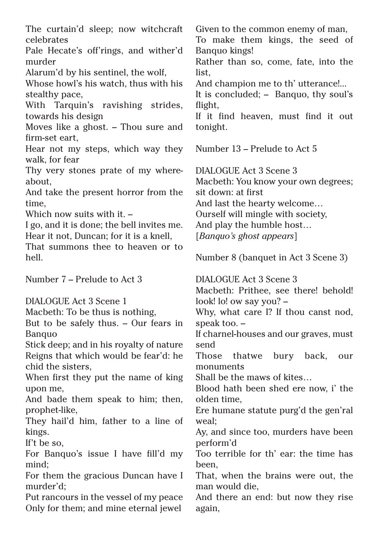The curtain'd sleep; now witchcraft celebrates

Pale Hecate's off'rings, and wither'd murder

Alarum'd by his sentinel, the wolf,

Whose howl's his watch, thus with his stealthy pace,

With Tarquin's ravishing strides, towards his design

Moves like a ghost. – Thou sure and firm-set eart,

Hear not my steps, which way they walk, for fear

Thy very stones prate of my whereabout,

And take the present horror from the time,

Which now suits with it  $-$ 

I go, and it is done; the bell invites me. Hear it not, Duncan; for it is a knell,

That summons thee to heaven or to hell.

Number 7 – Prelude to Act 3

DIALOGUE Act 3 Scene 1

Macbeth: To be thus is nothing,

But to be safely thus. – Our fears in Banquo

Stick deep; and in his royalty of nature Reigns that which would be fear'd: he chid the sisters,

When first they put the name of king upon me,

And bade them speak to him; then, prophet-like,

They hail'd him, father to a line of kings.

If't be so,

For Banquo's issue I have fill'd my mind;

For them the gracious Duncan have I murder'd;

Put rancours in the vessel of my peace Only for them; and mine eternal jewel

Given to the common enemy of man,

To make them kings, the seed of Banquo kings!

Rather than so, come, fate, into the list,

And champion me to th' utterance!...

It is concluded; – Banquo, thy soul's flight,

If it find heaven, must find it out tonight.

Number 13 – Prelude to Act 5

DIALOGUE Act 3 Scene 3

Macbeth: You know your own degrees; sit down: at first

And last the hearty welcome…

Ourself will mingle with society,

And play the humble host…

[*Banquo's ghost appears*]

Number 8 (banquet in Act 3 Scene 3)

DIALOGUE Act 3 Scene 3 Macbeth: Prithee, see there! behold! look! lo! ow say you? -

Why, what care I? If thou canst nod, speak too. –

If charnel-houses and our graves, must send

Those thatwe bury back, our monuments

Shall be the maws of kites…

Blood hath been shed ere now, i' the olden time,

Ere humane statute purg'd the gen'ral weal;

Ay, and since too, murders have been perform'd

Too terrible for th' ear: the time has been,

That, when the brains were out, the man would die,

And there an end: but now they rise again,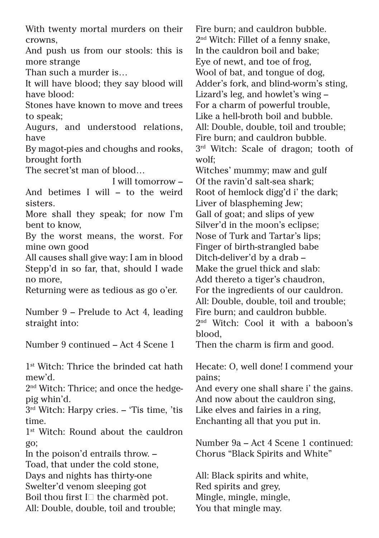With twenty mortal murders on their crowns,

And push us from our stools: this is more strange

Than such a murder is…

It will have blood; they say blood will have blood:

Stones have known to move and trees to speak;

Augurs, and understood relations, have

By magot-pies and choughs and rooks, brought forth

The secret'st man of blood…

 I will tomorrow – And betimes I will – to the weird sisters.

More shall they speak; for now I'm bent to know,

By the worst means, the worst. For mine own good

All causes shall give way: I am in blood Stepp'd in so far, that, should I wade no more,

Returning were as tedious as go o'er.

Number 9 – Prelude to Act 4, leading straight into:

Number 9 continued – Act 4 Scene 1

1<sup>st</sup> Witch: Thrice the brinded cat hath mew'd.

2nd Witch: Thrice; and once the hedgepig whin'd.

3rd Witch: Harpy cries. – 'Tis time, 'tis time.

1<sup>st</sup> Witch: Round about the cauldron go;

In the poison'd entrails throw. – Toad, that under the cold stone, Days and nights has thirty-one Swelter'd venom sleeping got Boil thou first  $I \square$  the charmed pot. All: Double, double, toil and trouble; Fire burn; and cauldron bubble. 2nd Witch: Fillet of a fenny snake, In the cauldron boil and bake; Eye of newt, and toe of frog, Wool of bat, and tongue of dog, Adder's fork, and blind-worm's sting, Lizard's leg, and howlet's wing – For a charm of powerful trouble, Like a hell-broth boil and bubble. All: Double, double, toil and trouble; Fire burn; and cauldron bubble. 3<sup>rd</sup> Witch: Scale of dragon; tooth of wolf; Witches' mummy; maw and gulf Of the ravin'd salt-sea shark; Root of hemlock digg'd i' the dark; Liver of blaspheming Jew; Gall of goat; and slips of yew Silver'd in the moon's eclipse; Nose of Turk and Tartar's lips; Finger of birth-strangled babe Ditch-deliver'd by a drab – Make the gruel thick and slab: Add thereto a tiger's chaudron, For the ingredients of our cauldron. All: Double, double, toil and trouble; Fire burn; and cauldron bubble. 2nd Witch: Cool it with a baboon's blood, Then the charm is firm and good. Hecate: O, well done! I commend your pains; And every one shall share i' the gains. And now about the cauldron sing, Like elves and fairies in a ring, Enchanting all that you put in.

Number 9a – Act 4 Scene 1 continued: Chorus "Black Spirits and White"

All: Black spirits and white, Red spirits and grey, Mingle, mingle, mingle, You that mingle may.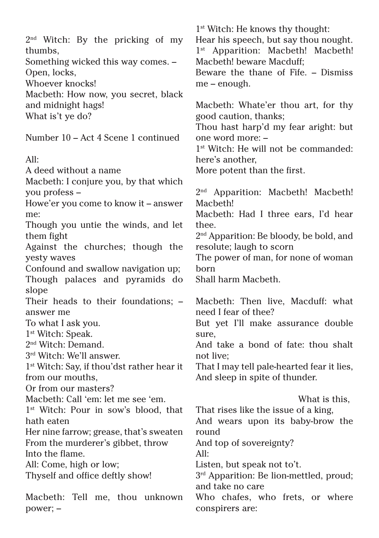2nd Witch: By the pricking of my thumbs,

Something wicked this way comes. – Open, locks,

Whoever knocks!

Macbeth: How now, you secret, black and midnight hags! What is't ye do?

Number 10 – Act 4 Scene 1 continued

#### $\Delta$ ll·

A deed without a name

Macbeth: I conjure you, by that which you profess –

Howe'er you come to know it – answer me:

Though you untie the winds, and let them fight

Against the churches; though the yesty waves

Confound and swallow navigation up; Though palaces and pyramids do slope

Their heads to their foundations; – answer me

To what I ask you.

1st Witch: Speak.

2nd Witch: Demand.

3rd Witch: We'll answer.

1st Witch: Say, if thou'dst rather hear it from our mouths,

Or from our masters?

Macbeth: Call 'em: let me see 'em.

1<sup>st</sup> Witch: Pour in sow's blood, that hath eaten

Her nine farrow; grease, that's sweaten From the murderer's gibbet, throw Into the flame.

All: Come, high or low;

Thyself and office deftly show!

Macbeth: Tell me, thou unknown power; –

1st Witch: He knows thy thought: Hear his speech, but say thou nought. 1<sup>st</sup> Apparition: Macbeth! Macbeth! Macbeth! beware Macduff; Beware the thane of Fife. – Dismiss

me – enough.

Macbeth: Whate'er thou art, for thy good caution, thanks;

Thou hast harp'd my fear aright: but one word more: –

1st Witch: He will not be commanded: here's another,

More potent than the first.

2<sup>nd</sup> Apparition: Macbeth! Macbeth! Macbeth!

Macbeth: Had I three ears, I'd hear thee.

2nd Apparition: Be bloody, be bold, and resolute; laugh to scorn

The power of man, for none of woman born

Shall harm Macbeth.

Macbeth: Then live, Macduff: what need I fear of thee?

But yet I'll make assurance double sure,

And take a bond of fate: thou shalt not live;

That I may tell pale-hearted fear it lies, And sleep in spite of thunder.

 What is this, That rises like the issue of a king, And wears upon its baby-brow the round And top of sovereignty?  $\Delta$ ll· Listen, but speak not to't.  $3<sup>rd</sup>$  Apparition: Be lion-mettled, proud; and take no care Who chafes, who frets, or where conspirers are: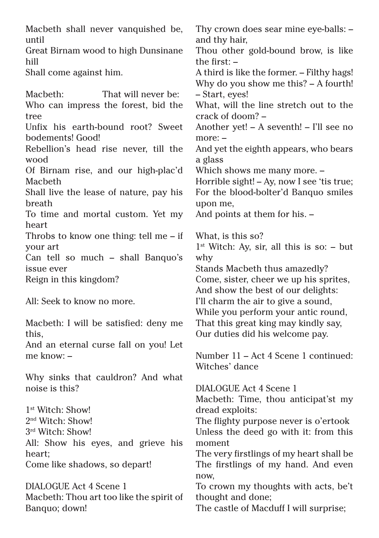Macbeth shall never vanquished be, until Great Birnam wood to high Dunsinane hill Shall come against him. Macbeth: That will never be: Who can impress the forest, bid the tree Unfix his earth-bound root? Sweet bodements! Good! Rebellion's head rise never, till the wood Of Birnam rise, and our high-plac'd Macbeth Shall live the lease of nature, pay his breath To time and mortal custom. Yet my heart Throbs to know one thing: tell me – if your art Can tell so much – shall Banquo's issue ever Reign in this kingdom? All: Seek to know no more. Macbeth: I will be satisfied: deny me this, And an eternal curse fall on you! Let me know: – Why sinks that cauldron? And what noise is this? 1st Witch: Show! 2nd Witch: Show! 3rd Witch: Show! All: Show his eyes, and grieve his

heart; Come like shadows, so depart!

DIALOGUE Act 4 Scene 1 Macbeth: Thou art too like the spirit of Banquo; down!

Thy crown does sear mine eye-balls: – and thy hair, Thou other gold-bound brow, is like the first:  $-$ A third is like the former. – Filthy hags! Why do you show me this? – A fourth! – Start, eyes! What, will the line stretch out to the crack of doom? – Another yet! – A seventh! – I'll see no more: – And yet the eighth appears, who bears a glass Which shows me many more. – Horrible sight! – Ay, now I see 'tis true; For the blood-bolter'd Banquo smiles upon me, And points at them for his. – What, is this so?  $1<sup>st</sup>$  Witch: Ay, sir, all this is so: – but why Stands Macbeth thus amazedly? Come, sister, cheer we up his sprites, And show the best of our delights: I'll charm the air to give a sound, While you perform your antic round, That this great king may kindly say, Our duties did his welcome pay.

Number 11 – Act 4 Scene 1 continued: Witches' dance

DIALOGUE Act 4 Scene 1 Macbeth: Time, thou anticipat'st my dread exploits:

The flighty purpose never is o'ertook Unless the deed go with it: from this moment

The very firstlings of my heart shall be The firstlings of my hand. And even now,

To crown my thoughts with acts, be't thought and done;

The castle of Macduff I will surprise;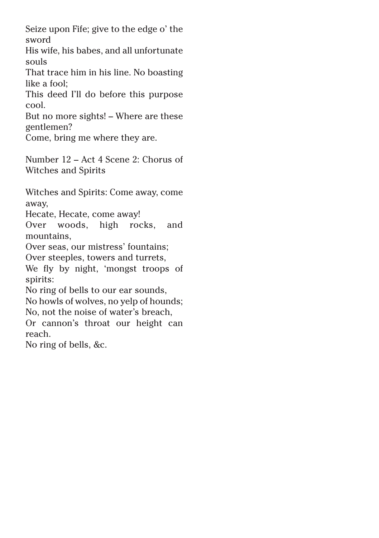Seize upon Fife; give to the edge o' the sword

His wife, his babes, and all unfortunate souls

That trace him in his line. No boasting like a fool;

This deed I'll do before this purpose cool.

But no more sights! – Where are these gentlemen?

Come, bring me where they are.

Number 12 – Act 4 Scene 2: Chorus of Witches and Spirits

Witches and Spirits: Come away, come away,

Hecate, Hecate, come away!

Over woods, high rocks, and mountains,

Over seas, our mistress' fountains;

Over steeples, towers and turrets,

We fly by night, 'mongst troops of spirits:

No ring of bells to our ear sounds, No howls of wolves, no yelp of hounds;

No, not the noise of water's breach,

Or cannon's throat our height can reach.

No ring of bells, &c.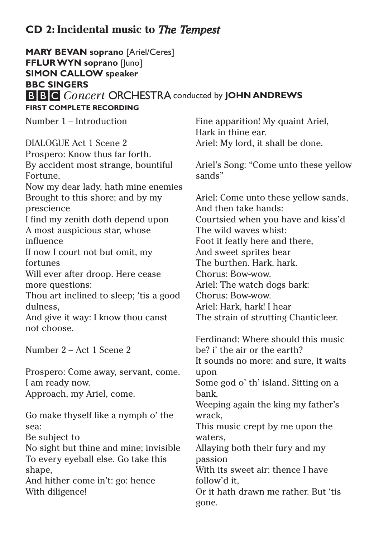### **CD 2: Incidental music to** *The Tempest*

**MARY BEVAN soprano** [Ariel/Ceres] **FFLUR WYN soprano** [Juno] **SIMON CALLOW speaker BBC SINGERS B B C** Concert ORCHESTRA conducted by **JOHN ANDREWS FIRST COMPLETE RECORDING**

Number 1 – Introduction

DIALOGUE Act 1 Scene 2 Prospero: Know thus far forth. By accident most strange, bountiful Fortune, Now my dear lady, hath mine enemies Brought to this shore; and by my prescience I find my zenith doth depend upon A most auspicious star, whose influence If now I court not but omit, my fortunes Will ever after droop. Here cease more questions: Thou art inclined to sleep; 'tis a good dulness, And give it way: I know thou canst not choose. Number 2 – Act 1 Scene 2

Prospero: Come away, servant, come. I am ready now. Approach, my Ariel, come.

Go make thyself like a nymph o' the sea:

Be subject to

No sight but thine and mine; invisible To every eyeball else. Go take this shape,

And hither come in't: go: hence With diligence!

Fine apparition! My quaint Ariel, Hark in thine ear. Ariel: My lord, it shall be done.

Ariel's Song: "Come unto these yellow sands"

Ariel: Come unto these yellow sands, And then take hands: Courtsied when you have and kiss'd The wild waves whist: Foot it featly here and there, And sweet sprites bear The burthen. Hark, hark. Chorus: Bow-wow. Ariel: The watch dogs bark: Chorus: Bow-wow. Ariel: Hark, hark! I hear The strain of strutting Chanticleer.

Ferdinand: Where should this music be? i' the air or the earth? It sounds no more: and sure, it waits upon Some god o' th' island. Sitting on a bank, Weeping again the king my father's wrack, This music crept by me upon the waters, Allaying both their fury and my passion With its sweet air: thence I have follow'd it, Or it hath drawn me rather. But 'tis gone.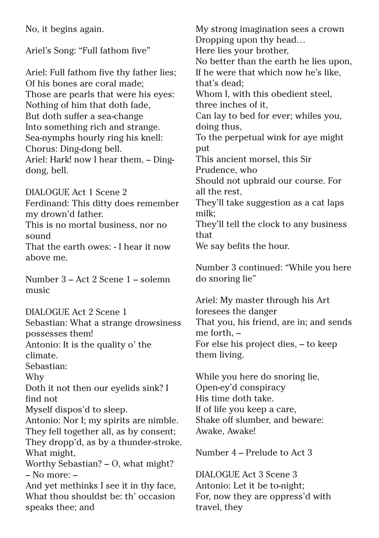No, it begins again. Ariel's Song: "Full fathom five" Ariel: Full fathom five thy father lies; Of his bones are coral made; Those are pearls that were his eyes: Nothing of him that doth fade, But doth suffer a sea-change Into something rich and strange. Sea-nymphs hourly ring his knell: Chorus: Ding-dong bell. Ariel: Hark! now I hear them, – Dingdong, bell. DIALOGUE Act 1 Scene 2 Ferdinand: This ditty does remember my drown'd father. This is no mortal business, nor no sound That the earth owes: - I hear it now above me. Number 3 – Act 2 Scene 1 – solemn music DIALOGUE Act 2 Scene 1 Sebastian: What a strange drowsiness possesses them! Antonio: It is the quality o' the climate. Sebastian: Why Doth it not then our eyelids sink? I find not Myself dispos'd to sleep. Antonio: Nor I; my spirits are nimble. They fell together all, as by consent; They dropp'd, as by a thunder-stroke. What might, Worthy Sebastian? – O, what might? – No more: –

And yet methinks I see it in thy face, What thou shouldst be: th' occasion speaks thee; and

My strong imagination sees a crown Dropping upon thy head… Here lies your brother, No better than the earth he lies upon, If he were that which now he's like, that's dead; Whom I, with this obedient steel, three inches of it, Can lay to bed for ever; whiles you, doing thus, To the perpetual wink for aye might put This ancient morsel, this Sir Prudence, who Should not upbraid our course. For all the rest, They'll take suggestion as a cat laps milk; They'll tell the clock to any business that We say befits the hour.

Number 3 continued: "While you here do snoring lie"

Ariel: My master through his Art foresees the danger That you, his friend, are in; and sends me forth, – For else his project dies, – to keep them living.

While you here do snoring lie, Open-ey'd conspiracy His time doth take. If of life you keep a care, Shake off slumber, and beware: Awake, Awake!

Number 4 – Prelude to Act 3

DIALOGUE Act 3 Scene 3 Antonio: Let it be to-night; For, now they are oppress'd with travel, they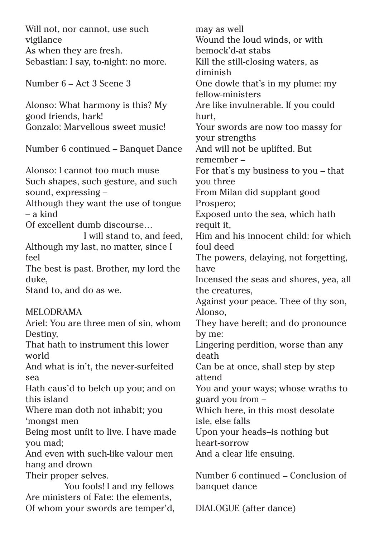| Will not, nor cannot, use such              | may as well                                  |
|---------------------------------------------|----------------------------------------------|
| vigilance                                   | Wound the loud winds, or with                |
| As when they are fresh.                     | bemock'd-at stabs                            |
| Sebastian: I say, to-night: no more.        | Kill the still-closing waters, as            |
|                                             | diminish                                     |
| Number 6 – Act 3 Scene 3                    | One dowle that's in my plume: my             |
|                                             | fellow-ministers                             |
| Alonso: What harmony is this? My            | Are like invulnerable. If you could          |
| good friends, hark!                         | hurt,                                        |
| Gonzalo: Marvellous sweet music!            | Your swords are now too massy for            |
|                                             | your strengths                               |
| Number 6 continued – Banquet Dance          | And will not be uplifted. But                |
|                                             | remember-                                    |
| Alonso: I cannot too much muse              | For that's my business to you - that         |
| Such shapes, such gesture, and such         | you three                                    |
| sound, expressing -                         | From Milan did supplant good                 |
| Although they want the use of tongue        | Prospero;                                    |
| – a kind                                    | Exposed unto the sea, which hath             |
| Of excellent dumb discourse                 | requit it,                                   |
| I will stand to, and feed,                  | Him and his innocent child: for which        |
| Although my last, no matter, since I        | foul deed                                    |
| feel                                        | The powers, delaying, not forgetting,        |
| The best is past. Brother, my lord the      | have                                         |
| duke,                                       | Incensed the seas and shores, yea, all       |
| Stand to, and do as we.                     | the creatures,                               |
|                                             | Against your peace. Thee of thy son,         |
| <b>MELODRAMA</b>                            | Alonso,                                      |
| Ariel: You are three men of sin, whom       | They have bereft; and do pronounce           |
| Destiny,                                    | by me:                                       |
| That hath to instrument this lower<br>world | Lingering perdition, worse than any<br>death |
| And what is in't, the never-surfeited       | Can be at once, shall step by step           |
| sea                                         | attend                                       |
| Hath caus'd to belch up you; and on         | You and your ways; whose wraths to           |
| this island                                 | guard you from -                             |
| Where man doth not inhabit; you             | Which here, in this most desolate            |
| 'mongst men                                 | isle, else falls                             |
| Being most unfit to live. I have made       | Upon your heads-is nothing but               |
| you mad;                                    | heart-sorrow                                 |
| And even with such-like valour men          | And a clear life ensuing.                    |
| hang and drown                              |                                              |
| Their proper selves.                        | Number 6 continued - Conclusion of           |
| You fools! I and my fellows                 | banquet dance                                |
| Are ministers of Fate: the elements,        |                                              |
| Of whom your swords are temper'd,           | DIALOGUE (after dance)                       |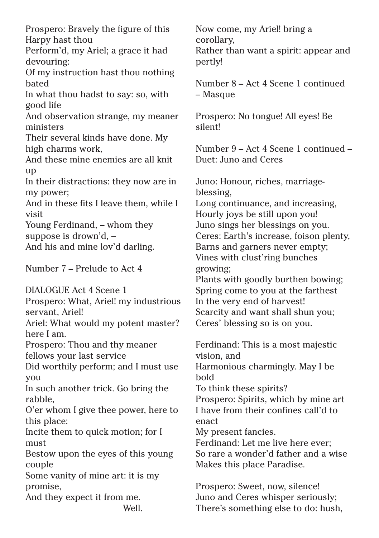Prospero: Bravely the figure of this Harpy hast thou

Perform'd, my Ariel; a grace it had devouring:

Of my instruction hast thou nothing bated

In what thou hadst to say: so, with good life

And observation strange, my meaner ministers

Their several kinds have done. My high charms work,

And these mine enemies are all knit up

In their distractions: they now are in my power;

And in these fits I leave them, while I visit

Young Ferdinand, – whom they suppose is drown'd, –

And his and mine lov'd darling.

Number 7 – Prelude to Act 4

DIALOGUE Act 4 Scene 1

Prospero: What, Ariel! my industrious servant, Ariel!

Ariel: What would my potent master? here I am.

Prospero: Thou and thy meaner fellows your last service

Did worthily perform; and I must use you

In such another trick. Go bring the rabble,

O'er whom I give thee power, here to this place:

Incite them to quick motion; for I must

Bestow upon the eyes of this young couple

Some vanity of mine art: it is my promise,

And they expect it from me.

Well.

Now come, my Ariel! bring a corollary, Rather than want a spirit: appear and pertly!

Number 8 – Act 4 Scene 1 continued – Masque

Prospero: No tongue! All eyes! Be silent!

Number 9 – Act 4 Scene 1 continued – Duet: Juno and Ceres

Juno: Honour, riches, marriageblessing,

Long continuance, and increasing, Hourly joys be still upon you! Juno sings her blessings on you. Ceres: Earth's increase, foison plenty, Barns and garners never empty; Vines with clust'ring bunches growing;

Plants with goodly burthen bowing; Spring come to you at the farthest In the very end of harvest! Scarcity and want shall shun you; Ceres' blessing so is on you.

Ferdinand: This is a most majestic vision, and Harmonious charmingly. May I be bold To think these spirits? Prospero: Spirits, which by mine art I have from their confines call'd to enact My present fancies. Ferdinand: Let me live here ever; So rare a wonder'd father and a wise Makes this place Paradise.

Prospero: Sweet, now, silence! Juno and Ceres whisper seriously; There's something else to do: hush,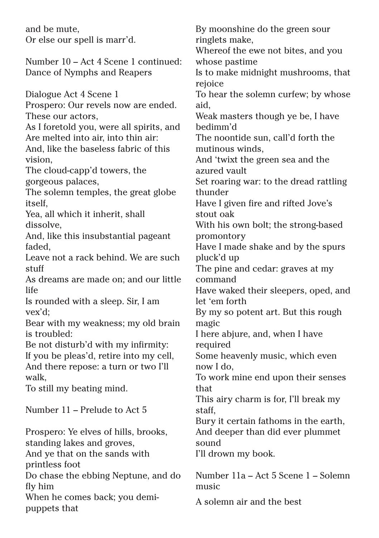and be mute, Or else our spell is marr'd. Number 10 – Act 4 Scene 1 continued: Dance of Nymphs and Reapers Dialogue Act 4 Scene 1 Prospero: Our revels now are ended. These our actors, As I foretold you, were all spirits, and Are melted into air, into thin air: And, like the baseless fabric of this vision, The cloud-capp'd towers, the gorgeous palaces, The solemn temples, the great globe itself, Yea, all which it inherit, shall dissolve, And, like this insubstantial pageant faded, Leave not a rack behind. We are such stuff As dreams are made on; and our little life Is rounded with a sleep. Sir, I am vex'd; Bear with my weakness; my old brain is troubled: Be not disturb'd with my infirmity: If you be pleas'd, retire into my cell, And there repose: a turn or two I'll walk, To still my beating mind. Number 11 – Prelude to Act 5 Prospero: Ye elves of hills, brooks, standing lakes and groves, And ye that on the sands with printless foot Do chase the ebbing Neptune, and do fly him When he comes back; you demipuppets that ringlets make, rejoice aid, bedimm'd azured vault thunder stout oak promontory pluck'd up command let 'em forth magic required now I do, that staff, sound music

By moonshine do the green sour Whereof the ewe not bites, and you whose pastime Is to make midnight mushrooms, that To hear the solemn curfew; by whose Weak masters though ye be, I have The noontide sun, call'd forth the mutinous winds, And 'twixt the green sea and the Set roaring war: to the dread rattling Have I given fire and rifted Jove's With his own bolt; the strong-based Have I made shake and by the spurs The pine and cedar: graves at my Have waked their sleepers, oped, and By my so potent art. But this rough I here abjure, and, when I have Some heavenly music, which even To work mine end upon their senses This airy charm is for, I'll break my Bury it certain fathoms in the earth, And deeper than did ever plummet I'll drown my book. Number 11a – Act 5 Scene 1 – Solemn

A solemn air and the best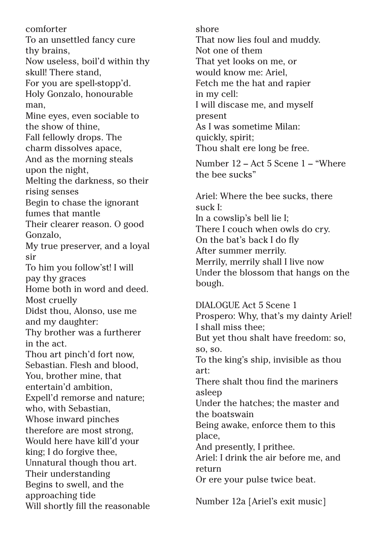comforter To an unsettled fancy cure thy brains, Now useless, boil'd within thy skull! There stand, For you are spell-stopp'd. Holy Gonzalo, honourable man, Mine eyes, even sociable to the show of thine, Fall fellowly drops. The charm dissolves apace, And as the morning steals upon the night, Melting the darkness, so their rising senses Begin to chase the ignorant fumes that mantle Their clearer reason. O good Gonzalo, My true preserver, and a loyal sir To him you follow'st! I will pay thy graces Home both in word and deed. Most cruelly Didst thou, Alonso, use me and my daughter: Thy brother was a furtherer in the act. Thou art pinch'd fort now, Sebastian. Flesh and blood, You, brother mine, that entertain'd ambition, Expell'd remorse and nature; who, with Sebastian, Whose inward pinches therefore are most strong, Would here have kill'd your king; I do forgive thee, Unnatural though thou art. Their understanding Begins to swell, and the approaching tide Will shortly fill the reasonable shore That now lies foul and muddy. Not one of them That yet looks on me, or would know me: Ariel, Fetch me the hat and rapier in my cell: I will discase me, and myself present As I was sometime Milan: quickly, spirit; Thou shalt ere long be free.

Number 12 – Act 5 Scene 1 – "Where the bee sucks"

Ariel: Where the bee sucks, there suck I: In a cowslip's bell lie I; There I couch when owls do cry. On the bat's back I do fly After summer merrily. Merrily, merrily shall I live now Under the blossom that hangs on the bough.

DIALOGUE Act 5 Scene 1 Prospero: Why, that's my dainty Ariel! I shall miss thee; But yet thou shalt have freedom: so, so, so. To the king's ship, invisible as thou art: There shalt thou find the mariners asleep Under the hatches; the master and the boatswain Being awake, enforce them to this place, And presently, I prithee. Ariel: I drink the air before me, and return Or ere your pulse twice beat. Number 12a [Ariel's exit music]